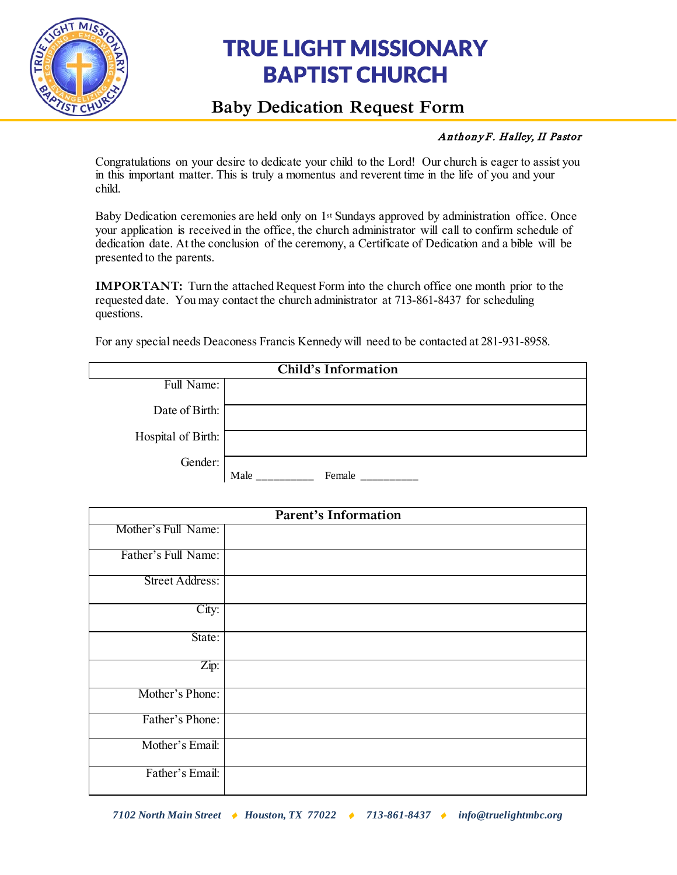

# **TRUE LIGHT MISSIONARY BAPTIST CHURCH**

# **Baby Dedication Request Form**

# Anthony F. Halley, II Pastor

Congratulations on your desire to dedicate your child to the Lord! Our church is eager to assist you in this important matter. This is truly a momentus and reverent time in the life of you and your child.

Baby Dedication ceremonies are held only on 1st Sundays approved by administration office. Once your application is received in the office, the church administrator will call to confirm schedule of dedication date. At the conclusion of the ceremony, a Certificate of Dedication and a bible will be presented to the parents.

**IMPORTANT:** Turn the attached Request Form into the church office one month prior to the requested date. You may contact the church administrator at 713-861-8437 for scheduling questions.

For any special needs Deaconess Francis Kennedy will need to be contacted at 281-931-8958.

| Child's Information |                |  |
|---------------------|----------------|--|
| Full Name:          |                |  |
| Date of Birth:      |                |  |
| Hospital of Birth:  |                |  |
| Gender:             | Male<br>Female |  |

| <b>Parent's Information</b> |  |  |
|-----------------------------|--|--|
| Mother's Full Name:         |  |  |
| Father's Full Name:         |  |  |
| Street Address:             |  |  |
| City:                       |  |  |
| State:                      |  |  |
| Zip:                        |  |  |
| Mother's Phone:             |  |  |
| Father's Phone:             |  |  |
| Mother's Email:             |  |  |
| Father's Email:             |  |  |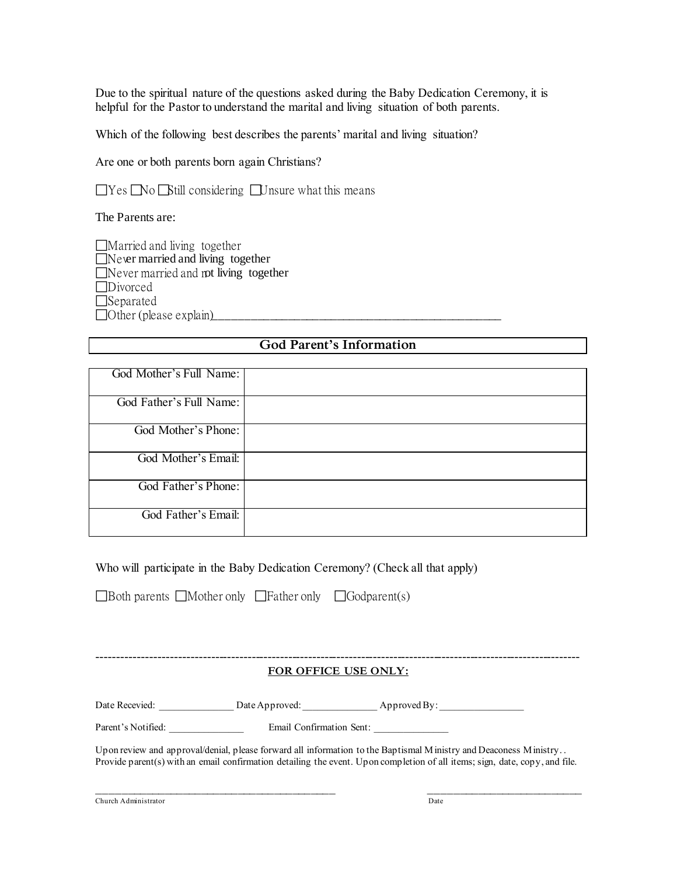Due to the spiritual nature of the questions asked during the Baby Dedication Ceremony, it is helpful for the Pastor to understand the marital and living situation of both parents.

Which of the following best describes the parents' marital and living situation?

Are one or both parents born again Christians?

 $\Box$  Yes  $\Box$  No  $\Box$  Still considering  $\Box$  Unsure what this means

The Parents are:

| $\Box$ Married and living together           |  |
|----------------------------------------------|--|
| $\Box$ Never married and living together     |  |
| $\Box$ Never married and not living together |  |
| $\Box$ Divorced                              |  |
| $\Box$ Separated                             |  |
| $\Box$ Other (please explain)                |  |

## **God Parent's Information**

| God Mother's Full Name: |  |
|-------------------------|--|
| God Father's Full Name: |  |
| God Mother's Phone:     |  |
| God Mother's Email:     |  |
| God Father's Phone:     |  |
| God Father's Email:     |  |

### Who will participate in the Baby Dedication Ceremony? (Check all that apply)

 $\Box$  Both parents  $\Box$  Mother only  $\Box$  Father only  $\Box$  Godparent(s)

#### ----------------------------------------------------------------------------------------------------------------------- **FOR OFFICE USE ONLY:**

Date Recevied: \_\_\_\_\_\_\_\_\_\_\_\_\_\_\_\_ Date Approved: \_\_\_\_\_\_\_\_\_\_\_\_\_\_\_\_\_\_ Approved By: \_\_\_\_\_\_\_\_\_\_\_\_\_\_\_\_\_\_\_\_

Parent's Notified: \_\_\_\_\_\_\_\_\_\_\_\_\_\_\_\_\_\_ Email Confirmation Sent: \_\_\_\_\_\_\_\_\_\_\_\_\_\_\_\_\_

Upon review and approval/denial, please forward all information to the Baptismal Ministry and Deaconess Ministry... Provide parent(s) with an email confirmation detailing the event. Upon completion of all items; sign, date, copy, and file.

 $\overline{\phantom{a}}$  , and the contribution of the contribution of the contribution of the contribution of the contribution of the contribution of the contribution of the contribution of the contribution of the contribution of the